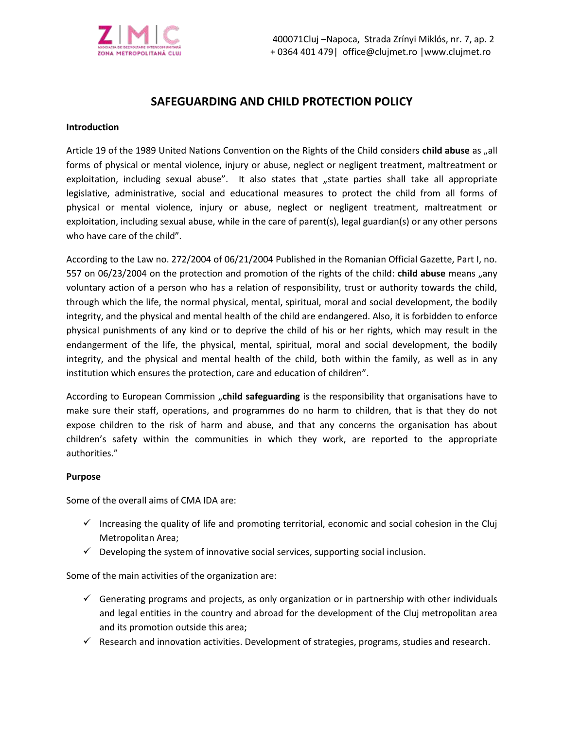

# **SAFEGUARDING AND CHILD PROTECTION POLICY**

#### **Introduction**

Article 19 of the 1989 United Nations Convention on the Rights of the Child considers child abuse as "all forms of physical or mental violence, injury or abuse, neglect or negligent treatment, maltreatment or exploitation, including sexual abuse". It also states that "state parties shall take all appropriate legislative, administrative, social and educational measures to protect the child from all forms of physical or mental violence, injury or abuse, neglect or negligent treatment, maltreatment or exploitation, including sexual abuse, while in the care of parent(s), legal guardian(s) or any other persons who have care of the child".

According to the Law no. 272/2004 of 06/21/2004 Published in the Romanian Official Gazette, Part I, no. 557 on 06/23/2004 on the protection and promotion of the rights of the child: **child abuse** means "any voluntary action of a person who has a relation of responsibility, trust or authority towards the child, through which the life, the normal physical, mental, spiritual, moral and social development, the bodily integrity, and the physical and mental health of the child are endangered. Also, it is forbidden to enforce physical punishments of any kind or to deprive the child of his or her rights, which may result in the endangerment of the life, the physical, mental, spiritual, moral and social development, the bodily integrity, and the physical and mental health of the child, both within the family, as well as in any institution which ensures the protection, care and education of children".

According to European Commission "**child safeguarding** is the responsibility that organisations have to make sure their staff, operations, and programmes do no harm to children, that is that they do not expose children to the risk of harm and abuse, and that any concerns the organisation has about children's safety within the communities in which they work, are reported to the appropriate authorities."

## **Purpose**

Some of the overall aims of CMA IDA are:

- $\checkmark$  Increasing the quality of life and promoting territorial, economic and social cohesion in the Cluj Metropolitan Area;
- $\checkmark$  Developing the system of innovative social services, supporting social inclusion.

Some of the main activities of the organization are:

- $\checkmark$  Generating programs and projects, as only organization or in partnership with other individuals and legal entities in the country and abroad for the development of the Cluj metropolitan area and its promotion outside this area;
- $\checkmark$  Research and innovation activities. Development of strategies, programs, studies and research.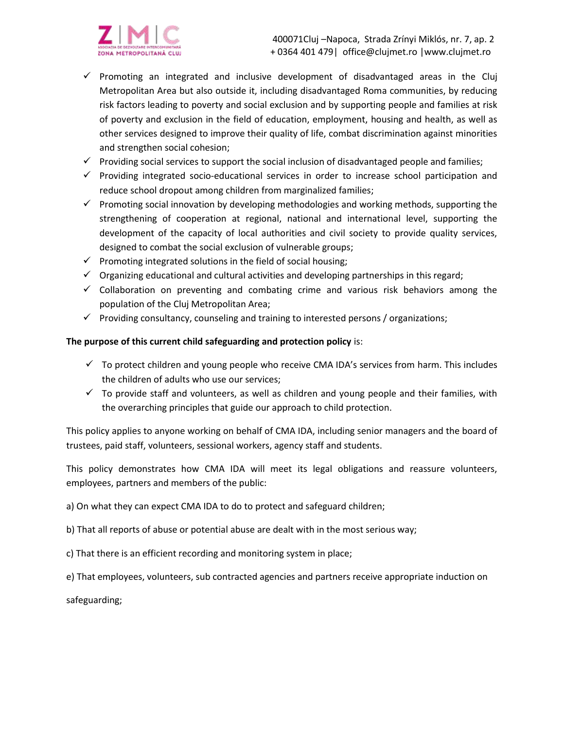



- $\checkmark$  Promoting an integrated and inclusive development of disadvantaged areas in the Cluj Metropolitan Area but also outside it, including disadvantaged Roma communities, by reducing risk factors leading to poverty and social exclusion and by supporting people and families at risk of poverty and exclusion in the field of education, employment, housing and health, as well as other services designed to improve their quality of life, combat discrimination against minorities and strengthen social cohesion;
- ✓ Providing social services to support the social inclusion of disadvantaged people and families;
- ✓ Providing integrated socio-educational services in order to increase school participation and reduce school dropout among children from marginalized families;
- $\checkmark$  Promoting social innovation by developing methodologies and working methods, supporting the strengthening of cooperation at regional, national and international level, supporting the development of the capacity of local authorities and civil society to provide quality services, designed to combat the social exclusion of vulnerable groups;
- $\checkmark$  Promoting integrated solutions in the field of social housing;
- $\checkmark$  Organizing educational and cultural activities and developing partnerships in this regard;
- $\checkmark$  Collaboration on preventing and combating crime and various risk behaviors among the population of the Cluj Metropolitan Area;
- $\checkmark$  Providing consultancy, counseling and training to interested persons / organizations;

#### **The purpose of this current child safeguarding and protection policy** is:

- $\checkmark$  To protect children and young people who receive CMA IDA's services from harm. This includes the children of adults who use our services;
- $\checkmark$  To provide staff and volunteers, as well as children and young people and their families, with the overarching principles that guide our approach to child protection.

This policy applies to anyone working on behalf of CMA IDA, including senior managers and the board of trustees, paid staff, volunteers, sessional workers, agency staff and students.

This policy demonstrates how CMA IDA will meet its legal obligations and reassure volunteers, employees, partners and members of the public:

a) On what they can expect CMA IDA to do to protect and safeguard children;

b) That all reports of abuse or potential abuse are dealt with in the most serious way;

- c) That there is an efficient recording and monitoring system in place;
- e) That employees, volunteers, sub contracted agencies and partners receive appropriate induction on

safeguarding;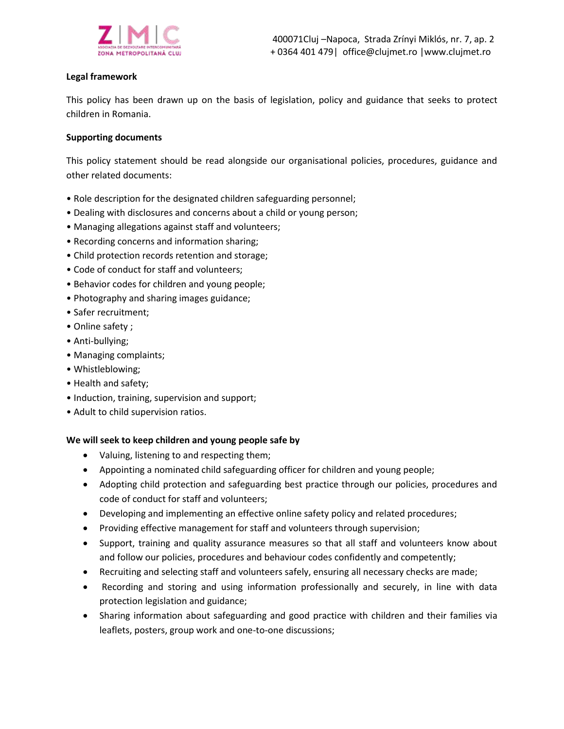

## **Legal framework**

This policy has been drawn up on the basis of legislation, policy and guidance that seeks to protect children in Romania.

#### **Supporting documents**

This policy statement should be read alongside our organisational policies, procedures, guidance and other related documents:

- Role description for the designated children safeguarding personnel;
- Dealing with disclosures and concerns about a child or young person;
- Managing allegations against staff and volunteers;
- Recording concerns and information sharing;
- Child protection records retention and storage;
- Code of conduct for staff and volunteers;
- Behavior codes for children and young people;
- Photography and sharing images guidance;
- Safer recruitment;
- Online safety ;
- Anti-bullying;
- Managing complaints;
- Whistleblowing;
- Health and safety;
- Induction, training, supervision and support;
- Adult to child supervision ratios.

## **We will seek to keep children and young people safe by**

- Valuing, listening to and respecting them;
- Appointing a nominated child safeguarding officer for children and young people;
- Adopting child protection and safeguarding best practice through our policies, procedures and code of conduct for staff and volunteers;
- Developing and implementing an effective online safety policy and related procedures;
- Providing effective management for staff and volunteers through supervision;
- Support, training and quality assurance measures so that all staff and volunteers know about and follow our policies, procedures and behaviour codes confidently and competently;
- Recruiting and selecting staff and volunteers safely, ensuring all necessary checks are made;
- Recording and storing and using information professionally and securely, in line with data protection legislation and guidance;
- Sharing information about safeguarding and good practice with children and their families via leaflets, posters, group work and one-to-one discussions;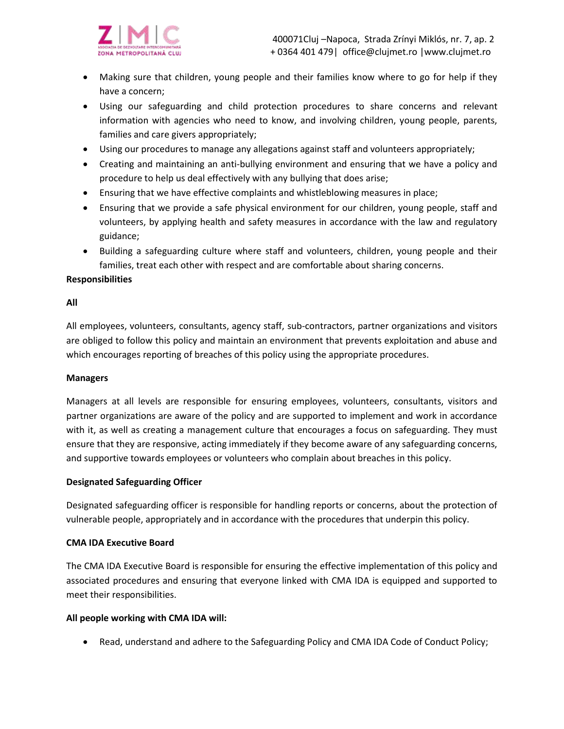

- Making sure that children, young people and their families know where to go for help if they have a concern;
- Using our safeguarding and child protection procedures to share concerns and relevant information with agencies who need to know, and involving children, young people, parents, families and care givers appropriately;
- Using our procedures to manage any allegations against staff and volunteers appropriately;
- Creating and maintaining an anti-bullying environment and ensuring that we have a policy and procedure to help us deal effectively with any bullying that does arise;
- Ensuring that we have effective complaints and whistleblowing measures in place;
- Ensuring that we provide a safe physical environment for our children, young people, staff and volunteers, by applying health and safety measures in accordance with the law and regulatory guidance;
- Building a safeguarding culture where staff and volunteers, children, young people and their families, treat each other with respect and are comfortable about sharing concerns.

## **Responsibilities**

## **All**

All employees, volunteers, consultants, agency staff, sub-contractors, partner organizations and visitors are obliged to follow this policy and maintain an environment that prevents exploitation and abuse and which encourages reporting of breaches of this policy using the appropriate procedures.

## **Managers**

Managers at all levels are responsible for ensuring employees, volunteers, consultants, visitors and partner organizations are aware of the policy and are supported to implement and work in accordance with it, as well as creating a management culture that encourages a focus on safeguarding. They must ensure that they are responsive, acting immediately if they become aware of any safeguarding concerns, and supportive towards employees or volunteers who complain about breaches in this policy.

## **Designated Safeguarding Officer**

Designated safeguarding officer is responsible for handling reports or concerns, about the protection of vulnerable people, appropriately and in accordance with the procedures that underpin this policy.

## **CMA IDA Executive Board**

The CMA IDA Executive Board is responsible for ensuring the effective implementation of this policy and associated procedures and ensuring that everyone linked with CMA IDA is equipped and supported to meet their responsibilities.

## **All people working with CMA IDA will:**

• Read, understand and adhere to the Safeguarding Policy and CMA IDA Code of Conduct Policy;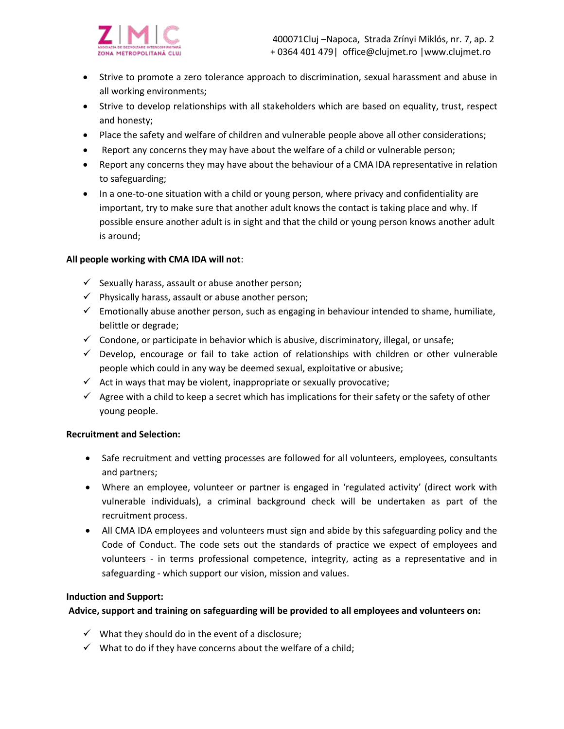

- Strive to promote a zero tolerance approach to discrimination, sexual harassment and abuse in all working environments;
- Strive to develop relationships with all stakeholders which are based on equality, trust, respect and honesty;
- Place the safety and welfare of children and vulnerable people above all other considerations;
- Report any concerns they may have about the welfare of a child or vulnerable person;
- Report any concerns they may have about the behaviour of a CMA IDA representative in relation to safeguarding;
- In a one-to-one situation with a child or young person, where privacy and confidentiality are important, try to make sure that another adult knows the contact is taking place and why. If possible ensure another adult is in sight and that the child or young person knows another adult is around;

## **All people working with CMA IDA will not**:

- $\checkmark$  Sexually harass, assault or abuse another person;
- $\checkmark$  Physically harass, assault or abuse another person;
- $\checkmark$  Emotionally abuse another person, such as engaging in behaviour intended to shame, humiliate, belittle or degrade;
- $\checkmark$  Condone, or participate in behavior which is abusive, discriminatory, illegal, or unsafe;
- $\checkmark$  Develop, encourage or fail to take action of relationships with children or other vulnerable people which could in any way be deemed sexual, exploitative or abusive;
- $\checkmark$  Act in ways that may be violent, inappropriate or sexually provocative;
- $\checkmark$  Agree with a child to keep a secret which has implications for their safety or the safety of other young people.

## **Recruitment and Selection:**

- Safe recruitment and vetting processes are followed for all volunteers, employees, consultants and partners;
- Where an employee, volunteer or partner is engaged in 'regulated activity' (direct work with vulnerable individuals), a criminal background check will be undertaken as part of the recruitment process.
- All CMA IDA employees and volunteers must sign and abide by this safeguarding policy and the Code of Conduct. The code sets out the standards of practice we expect of employees and volunteers - in terms professional competence, integrity, acting as a representative and in safeguarding - which support our vision, mission and values.

## **Induction and Support:**

**Advice, support and training on safeguarding will be provided to all employees and volunteers on:** 

- $\checkmark$  What they should do in the event of a disclosure;
- $\checkmark$  What to do if they have concerns about the welfare of a child;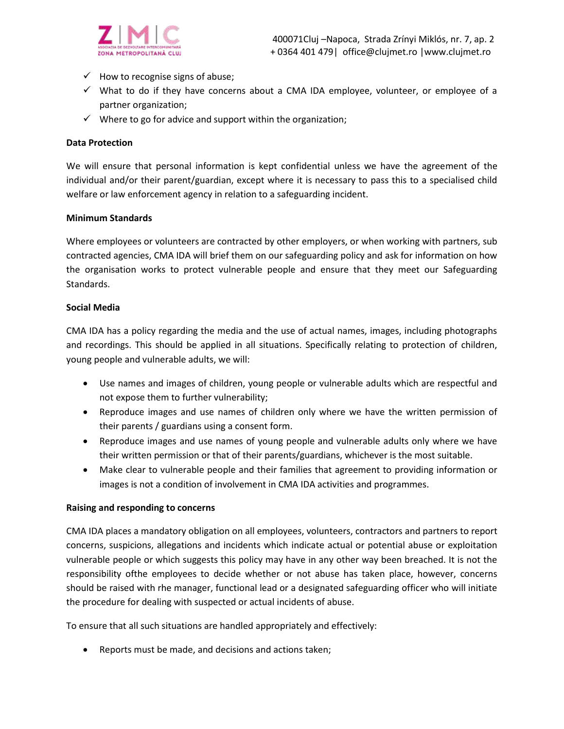

- $\checkmark$  How to recognise signs of abuse;
- ✓ What to do if they have concerns about a CMA IDA employee, volunteer, or employee of a partner organization;
- $\checkmark$  Where to go for advice and support within the organization;

#### **Data Protection**

We will ensure that personal information is kept confidential unless we have the agreement of the individual and/or their parent/guardian, except where it is necessary to pass this to a specialised child welfare or law enforcement agency in relation to a safeguarding incident.

#### **Minimum Standards**

Where employees or volunteers are contracted by other employers, or when working with partners, sub contracted agencies, CMA IDA will brief them on our safeguarding policy and ask for information on how the organisation works to protect vulnerable people and ensure that they meet our Safeguarding Standards.

#### **Social Media**

CMA IDA has a policy regarding the media and the use of actual names, images, including photographs and recordings. This should be applied in all situations. Specifically relating to protection of children, young people and vulnerable adults, we will:

- Use names and images of children, young people or vulnerable adults which are respectful and not expose them to further vulnerability;
- Reproduce images and use names of children only where we have the written permission of their parents / guardians using a consent form.
- Reproduce images and use names of young people and vulnerable adults only where we have their written permission or that of their parents/guardians, whichever is the most suitable.
- Make clear to vulnerable people and their families that agreement to providing information or images is not a condition of involvement in CMA IDA activities and programmes.

#### **Raising and responding to concerns**

CMA IDA places a mandatory obligation on all employees, volunteers, contractors and partners to report concerns, suspicions, allegations and incidents which indicate actual or potential abuse or exploitation vulnerable people or which suggests this policy may have in any other way been breached. It is not the responsibility ofthe employees to decide whether or not abuse has taken place, however, concerns should be raised with rhe manager, functional lead or a designated safeguarding officer who will initiate the procedure for dealing with suspected or actual incidents of abuse.

To ensure that all such situations are handled appropriately and effectively:

• Reports must be made, and decisions and actions taken;